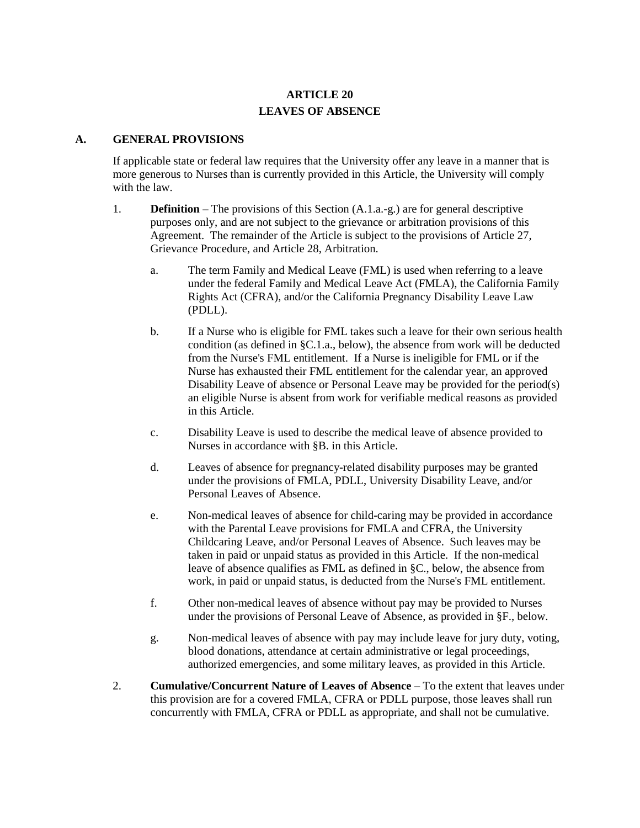# **ARTICLE 20 LEAVES OF ABSENCE**

#### **A. GENERAL PROVISIONS**

If applicable state or federal law requires that the University offer any leave in a manner that is more generous to Nurses than is currently provided in this Article, the University will comply with the law.

- 1. **Definition**  The provisions of this Section (A.1.a.-g.) are for general descriptive purposes only, and are not subject to the grievance or arbitration provisions of this Agreement. The remainder of the Article is subject to the provisions of Article 27, Grievance Procedure, and Article 28, Arbitration.
	- a. The term Family and Medical Leave (FML) is used when referring to a leave under the federal Family and Medical Leave Act (FMLA), the California Family Rights Act (CFRA), and/or the California Pregnancy Disability Leave Law (PDLL).
	- b. If a Nurse who is eligible for FML takes such a leave for their own serious health condition (as defined in §C.1.a., below), the absence from work will be deducted from the Nurse's FML entitlement. If a Nurse is ineligible for FML or if the Nurse has exhausted their FML entitlement for the calendar year, an approved Disability Leave of absence or Personal Leave may be provided for the period(s) an eligible Nurse is absent from work for verifiable medical reasons as provided in this Article.
	- c. Disability Leave is used to describe the medical leave of absence provided to Nurses in accordance with §B. in this Article.
	- d. Leaves of absence for pregnancy-related disability purposes may be granted under the provisions of FMLA, PDLL, University Disability Leave, and/or Personal Leaves of Absence.
	- e. Non-medical leaves of absence for child-caring may be provided in accordance with the Parental Leave provisions for FMLA and CFRA, the University Childcaring Leave, and/or Personal Leaves of Absence. Such leaves may be taken in paid or unpaid status as provided in this Article. If the non-medical leave of absence qualifies as FML as defined in §C., below, the absence from work, in paid or unpaid status, is deducted from the Nurse's FML entitlement.
	- f. Other non-medical leaves of absence without pay may be provided to Nurses under the provisions of Personal Leave of Absence, as provided in §F., below.
	- g. Non-medical leaves of absence with pay may include leave for jury duty, voting, blood donations, attendance at certain administrative or legal proceedings, authorized emergencies, and some military leaves, as provided in this Article.
- 2. **Cumulative/Concurrent Nature of Leaves of Absence** To the extent that leaves under this provision are for a covered FMLA, CFRA or PDLL purpose, those leaves shall run concurrently with FMLA, CFRA or PDLL as appropriate, and shall not be cumulative.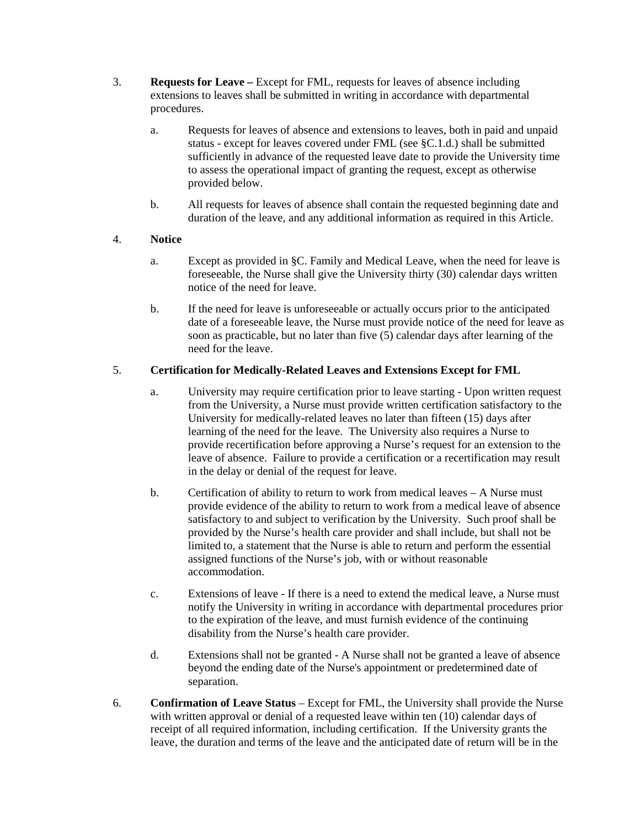- 3. **Requests for Leave –** Except for FML, requests for leaves of absence including extensions to leaves shall be submitted in writing in accordance with departmental procedures.
	- a. Requests for leaves of absence and extensions to leaves, both in paid and unpaid status - except for leaves covered under FML (see §C.1.d.) shall be submitted sufficiently in advance of the requested leave date to provide the University time to assess the operational impact of granting the request, except as otherwise provided below.
	- b. All requests for leaves of absence shall contain the requested beginning date and duration of the leave, and any additional information as required in this Article.

## 4. **Notice**

- a. Except as provided in §C. Family and Medical Leave, when the need for leave is foreseeable, the Nurse shall give the University thirty (30) calendar days written notice of the need for leave.
- b. If the need for leave is unforeseeable or actually occurs prior to the anticipated date of a foreseeable leave, the Nurse must provide notice of the need for leave as soon as practicable, but no later than five (5) calendar days after learning of the need for the leave.

### 5. **Certification for Medically-Related Leaves and Extensions Except for FML**

- a. University may require certification prior to leave starting Upon written request from the University, a Nurse must provide written certification satisfactory to the University for medically-related leaves no later than fifteen (15) days after learning of the need for the leave. The University also requires a Nurse to provide recertification before approving a Nurse's request for an extension to the leave of absence. Failure to provide a certification or a recertification may result in the delay or denial of the request for leave.
- b. Certification of ability to return to work from medical leaves A Nurse must provide evidence of the ability to return to work from a medical leave of absence satisfactory to and subject to verification by the University. Such proof shall be provided by the Nurse's health care provider and shall include, but shall not be limited to, a statement that the Nurse is able to return and perform the essential assigned functions of the Nurse's job, with or without reasonable accommodation.
- c. Extensions of leave If there is a need to extend the medical leave, a Nurse must notify the University in writing in accordance with departmental procedures prior to the expiration of the leave, and must furnish evidence of the continuing disability from the Nurse's health care provider.
- d. Extensions shall not be granted A Nurse shall not be granted a leave of absence beyond the ending date of the Nurse's appointment or predetermined date of separation.
- 6. **Confirmation of Leave Status** Except for FML, the University shall provide the Nurse with written approval or denial of a requested leave within ten (10) calendar days of receipt of all required information, including certification. If the University grants the leave, the duration and terms of the leave and the anticipated date of return will be in the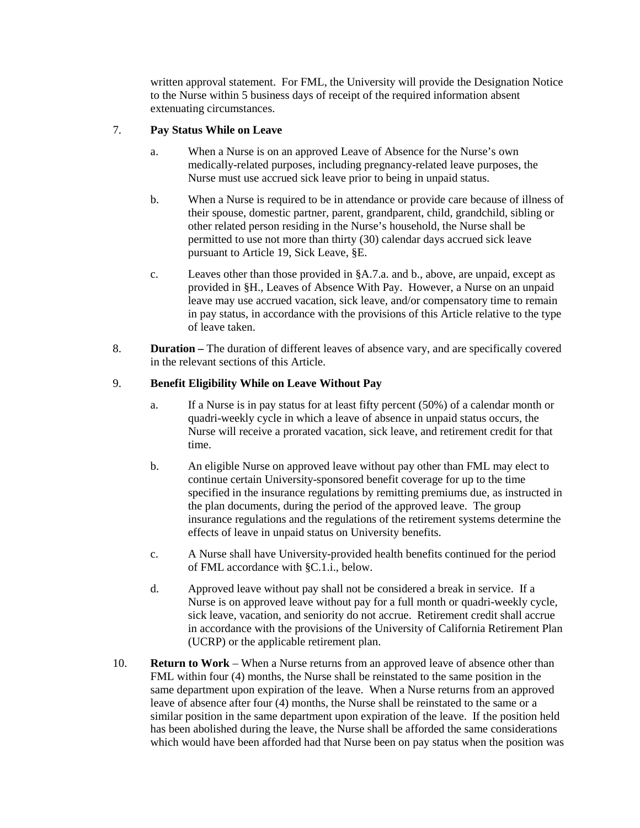written approval statement. For FML, the University will provide the Designation Notice to the Nurse within 5 business days of receipt of the required information absent extenuating circumstances.

### 7. **Pay Status While on Leave**

- a. When a Nurse is on an approved Leave of Absence for the Nurse's own medically-related purposes, including pregnancy-related leave purposes, the Nurse must use accrued sick leave prior to being in unpaid status.
- b. When a Nurse is required to be in attendance or provide care because of illness of their spouse, domestic partner, parent, grandparent, child, grandchild, sibling or other related person residing in the Nurse's household, the Nurse shall be permitted to use not more than thirty (30) calendar days accrued sick leave pursuant to Article 19, Sick Leave, §E.
- c. Leaves other than those provided in §A.7.a. and b., above, are unpaid, except as provided in §H., Leaves of Absence With Pay. However, a Nurse on an unpaid leave may use accrued vacation, sick leave, and/or compensatory time to remain in pay status, in accordance with the provisions of this Article relative to the type of leave taken.
- 8. **Duration –** The duration of different leaves of absence vary, and are specifically covered in the relevant sections of this Article.

### 9. **Benefit Eligibility While on Leave Without Pay**

- a. If a Nurse is in pay status for at least fifty percent (50%) of a calendar month or quadri-weekly cycle in which a leave of absence in unpaid status occurs, the Nurse will receive a prorated vacation, sick leave, and retirement credit for that time.
- b. An eligible Nurse on approved leave without pay other than FML may elect to continue certain University-sponsored benefit coverage for up to the time specified in the insurance regulations by remitting premiums due, as instructed in the plan documents, during the period of the approved leave. The group insurance regulations and the regulations of the retirement systems determine the effects of leave in unpaid status on University benefits.
- c. A Nurse shall have University-provided health benefits continued for the period of FML accordance with §C.1.i., below.
- d. Approved leave without pay shall not be considered a break in service. If a Nurse is on approved leave without pay for a full month or quadri-weekly cycle, sick leave, vacation, and seniority do not accrue. Retirement credit shall accrue in accordance with the provisions of the University of California Retirement Plan (UCRP) or the applicable retirement plan.
- 10. **Return to Work** When a Nurse returns from an approved leave of absence other than FML within four (4) months, the Nurse shall be reinstated to the same position in the same department upon expiration of the leave. When a Nurse returns from an approved leave of absence after four (4) months, the Nurse shall be reinstated to the same or a similar position in the same department upon expiration of the leave. If the position held has been abolished during the leave, the Nurse shall be afforded the same considerations which would have been afforded had that Nurse been on pay status when the position was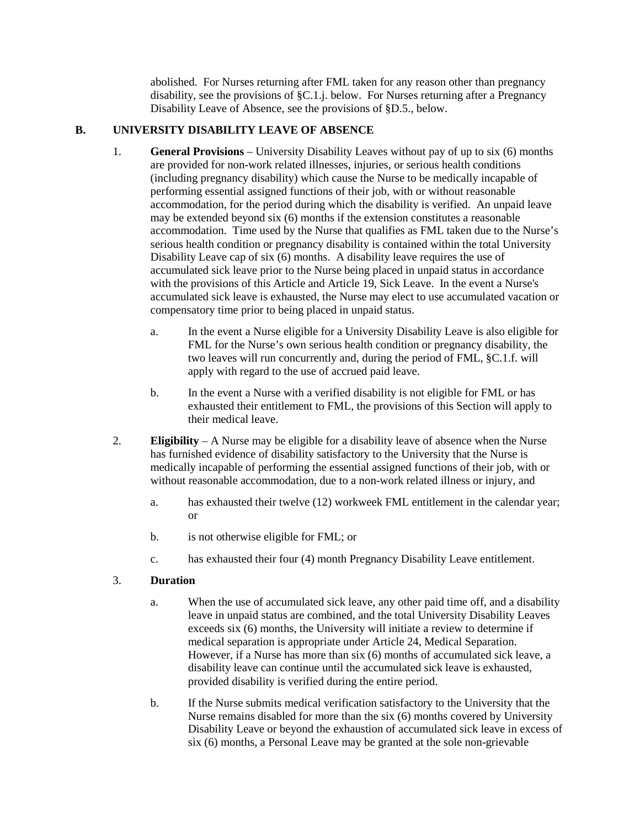abolished. For Nurses returning after FML taken for any reason other than pregnancy disability, see the provisions of §C.1.j. below. For Nurses returning after a Pregnancy Disability Leave of Absence, see the provisions of §D.5., below.

## **B. UNIVERSITY DISABILITY LEAVE OF ABSENCE**

- 1. **General Provisions** University Disability Leaves without pay of up to six (6) months are provided for non-work related illnesses, injuries, or serious health conditions (including pregnancy disability) which cause the Nurse to be medically incapable of performing essential assigned functions of their job, with or without reasonable accommodation, for the period during which the disability is verified. An unpaid leave may be extended beyond six (6) months if the extension constitutes a reasonable accommodation. Time used by the Nurse that qualifies as FML taken due to the Nurse's serious health condition or pregnancy disability is contained within the total University Disability Leave cap of six (6) months. A disability leave requires the use of accumulated sick leave prior to the Nurse being placed in unpaid status in accordance with the provisions of this Article and Article 19, Sick Leave. In the event a Nurse's accumulated sick leave is exhausted, the Nurse may elect to use accumulated vacation or compensatory time prior to being placed in unpaid status.
	- a. In the event a Nurse eligible for a University Disability Leave is also eligible for FML for the Nurse's own serious health condition or pregnancy disability, the two leaves will run concurrently and, during the period of FML, §C.1.f. will apply with regard to the use of accrued paid leave.
	- b. In the event a Nurse with a verified disability is not eligible for FML or has exhausted their entitlement to FML, the provisions of this Section will apply to their medical leave.
- 2. **Eligibility** A Nurse may be eligible for a disability leave of absence when the Nurse has furnished evidence of disability satisfactory to the University that the Nurse is medically incapable of performing the essential assigned functions of their job, with or without reasonable accommodation, due to a non-work related illness or injury, and
	- a. has exhausted their twelve (12) workweek FML entitlement in the calendar year; or
	- b. is not otherwise eligible for FML; or
	- c. has exhausted their four (4) month Pregnancy Disability Leave entitlement.

## 3. **Duration**

- a. When the use of accumulated sick leave, any other paid time off, and a disability leave in unpaid status are combined, and the total University Disability Leaves exceeds six (6) months, the University will initiate a review to determine if medical separation is appropriate under Article 24, Medical Separation. However, if a Nurse has more than six (6) months of accumulated sick leave, a disability leave can continue until the accumulated sick leave is exhausted, provided disability is verified during the entire period.
- b. If the Nurse submits medical verification satisfactory to the University that the Nurse remains disabled for more than the six (6) months covered by University Disability Leave or beyond the exhaustion of accumulated sick leave in excess of six (6) months, a Personal Leave may be granted at the sole non-grievable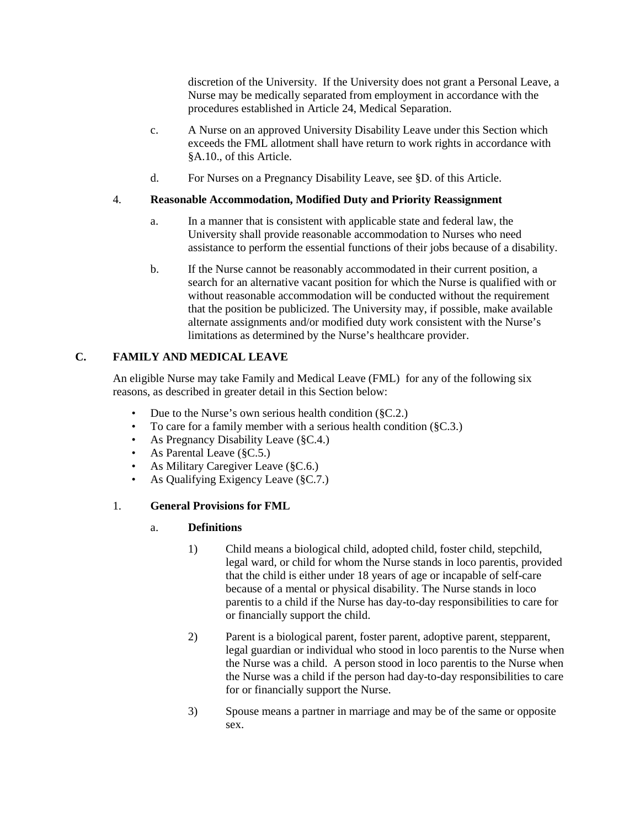discretion of the University. If the University does not grant a Personal Leave, a Nurse may be medically separated from employment in accordance with the procedures established in Article 24, Medical Separation.

- c. A Nurse on an approved University Disability Leave under this Section which exceeds the FML allotment shall have return to work rights in accordance with §A.10., of this Article.
- d. For Nurses on a Pregnancy Disability Leave, see §D. of this Article.

### 4. **Reasonable Accommodation, Modified Duty and Priority Reassignment**

- a. In a manner that is consistent with applicable state and federal law, the University shall provide reasonable accommodation to Nurses who need assistance to perform the essential functions of their jobs because of a disability.
- b. If the Nurse cannot be reasonably accommodated in their current position, a search for an alternative vacant position for which the Nurse is qualified with or without reasonable accommodation will be conducted without the requirement that the position be publicized. The University may, if possible, make available alternate assignments and/or modified duty work consistent with the Nurse's limitations as determined by the Nurse's healthcare provider.

## **C. FAMILY AND MEDICAL LEAVE**

An eligible Nurse may take Family and Medical Leave (FML) for any of the following six reasons, as described in greater detail in this Section below:

- Due to the Nurse's own serious health condition (§C.2.)
- To care for a family member with a serious health condition (§C.3.)
- As Pregnancy Disability Leave (§C.4.)
- As Parental Leave (§C.5.)
- As Military Caregiver Leave (§C.6.)
- As Qualifying Exigency Leave (§C.7.)

## 1. **General Provisions for FML**

#### a. **Definitions**

- 1) Child means a biological child, adopted child, foster child, stepchild, legal ward, or child for whom the Nurse stands in loco parentis, provided that the child is either under 18 years of age or incapable of self-care because of a mental or physical disability. The Nurse stands in loco parentis to a child if the Nurse has day-to-day responsibilities to care for or financially support the child.
- 2) Parent is a biological parent, foster parent, adoptive parent, stepparent, legal guardian or individual who stood in loco parentis to the Nurse when the Nurse was a child. A person stood in loco parentis to the Nurse when the Nurse was a child if the person had day-to-day responsibilities to care for or financially support the Nurse.
- 3) Spouse means a partner in marriage and may be of the same or opposite sex.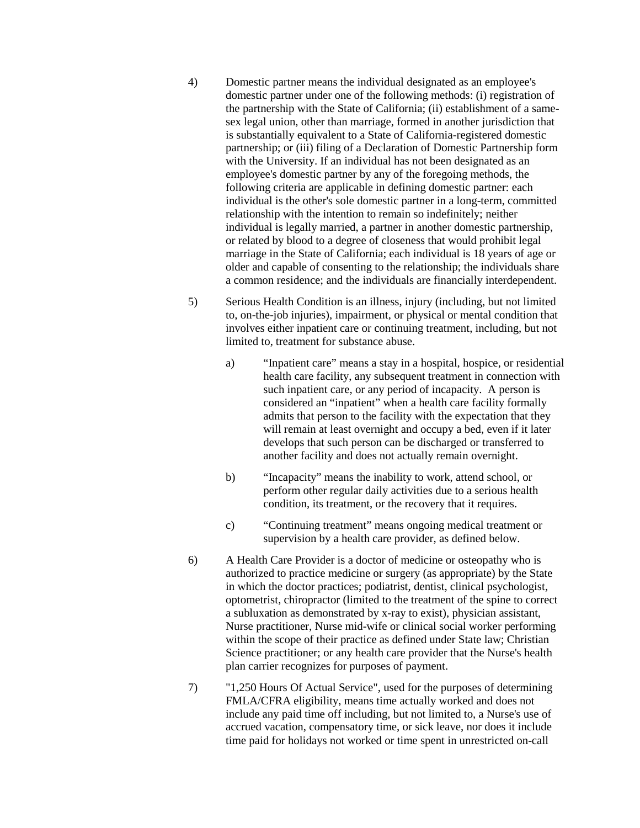- 4) Domestic partner means the individual designated as an employee's domestic partner under one of the following methods: (i) registration of the partnership with the State of California; (ii) establishment of a samesex legal union, other than marriage, formed in another jurisdiction that is substantially equivalent to a State of California-registered domestic partnership; or (iii) filing of a Declaration of Domestic Partnership form with the University. If an individual has not been designated as an employee's domestic partner by any of the foregoing methods, the following criteria are applicable in defining domestic partner: each individual is the other's sole domestic partner in a long-term, committed relationship with the intention to remain so indefinitely; neither individual is legally married, a partner in another domestic partnership, or related by blood to a degree of closeness that would prohibit legal marriage in the State of California; each individual is 18 years of age or older and capable of consenting to the relationship; the individuals share a common residence; and the individuals are financially interdependent.
- 5) Serious Health Condition is an illness, injury (including, but not limited to, on-the-job injuries), impairment, or physical or mental condition that involves either inpatient care or continuing treatment, including, but not limited to, treatment for substance abuse.
	- a) "Inpatient care" means a stay in a hospital, hospice, or residential health care facility, any subsequent treatment in connection with such inpatient care, or any period of incapacity. A person is considered an "inpatient" when a health care facility formally admits that person to the facility with the expectation that they will remain at least overnight and occupy a bed, even if it later develops that such person can be discharged or transferred to another facility and does not actually remain overnight.
	- b) "Incapacity" means the inability to work, attend school, or perform other regular daily activities due to a serious health condition, its treatment, or the recovery that it requires.
	- c) "Continuing treatment" means ongoing medical treatment or supervision by a health care provider, as defined below.
- 6) A Health Care Provider is a doctor of medicine or osteopathy who is authorized to practice medicine or surgery (as appropriate) by the State in which the doctor practices; podiatrist, dentist, clinical psychologist, optometrist, chiropractor (limited to the treatment of the spine to correct a subluxation as demonstrated by x-ray to exist), physician assistant, Nurse practitioner, Nurse mid-wife or clinical social worker performing within the scope of their practice as defined under State law; Christian Science practitioner; or any health care provider that the Nurse's health plan carrier recognizes for purposes of payment.
- 7) "1,250 Hours Of Actual Service", used for the purposes of determining FMLA/CFRA eligibility, means time actually worked and does not include any paid time off including, but not limited to, a Nurse's use of accrued vacation, compensatory time, or sick leave, nor does it include time paid for holidays not worked or time spent in unrestricted on-call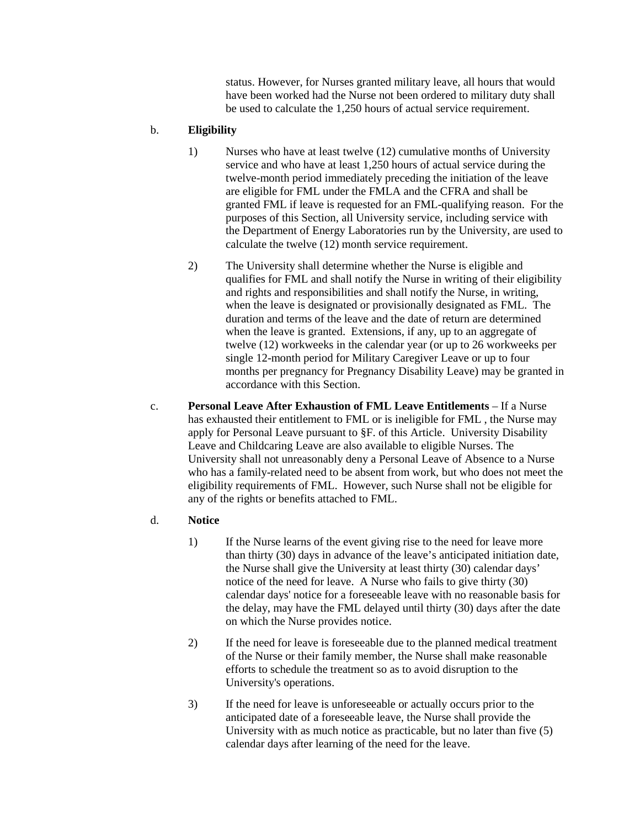status. However, for Nurses granted military leave, all hours that would have been worked had the Nurse not been ordered to military duty shall be used to calculate the 1,250 hours of actual service requirement.

## b. **Eligibility**

- 1) Nurses who have at least twelve (12) cumulative months of University service and who have at least 1,250 hours of actual service during the twelve-month period immediately preceding the initiation of the leave are eligible for FML under the FMLA and the CFRA and shall be granted FML if leave is requested for an FML-qualifying reason. For the purposes of this Section, all University service, including service with the Department of Energy Laboratories run by the University, are used to calculate the twelve (12) month service requirement.
- 2) The University shall determine whether the Nurse is eligible and qualifies for FML and shall notify the Nurse in writing of their eligibility and rights and responsibilities and shall notify the Nurse, in writing, when the leave is designated or provisionally designated as FML. The duration and terms of the leave and the date of return are determined when the leave is granted. Extensions, if any, up to an aggregate of twelve (12) workweeks in the calendar year (or up to 26 workweeks per single 12-month period for Military Caregiver Leave or up to four months per pregnancy for Pregnancy Disability Leave) may be granted in accordance with this Section.
- c. **Personal Leave After Exhaustion of FML Leave Entitlements** If a Nurse has exhausted their entitlement to FML or is ineligible for FML , the Nurse may apply for Personal Leave pursuant to §F. of this Article. University Disability Leave and Childcaring Leave are also available to eligible Nurses. The University shall not unreasonably deny a Personal Leave of Absence to a Nurse who has a family-related need to be absent from work, but who does not meet the eligibility requirements of FML. However, such Nurse shall not be eligible for any of the rights or benefits attached to FML.

#### d. **Notice**

- 1) If the Nurse learns of the event giving rise to the need for leave more than thirty (30) days in advance of the leave's anticipated initiation date, the Nurse shall give the University at least thirty (30) calendar days' notice of the need for leave. A Nurse who fails to give thirty (30) calendar days' notice for a foreseeable leave with no reasonable basis for the delay, may have the FML delayed until thirty (30) days after the date on which the Nurse provides notice.
- 2) If the need for leave is foreseeable due to the planned medical treatment of the Nurse or their family member, the Nurse shall make reasonable efforts to schedule the treatment so as to avoid disruption to the University's operations.
- 3) If the need for leave is unforeseeable or actually occurs prior to the anticipated date of a foreseeable leave, the Nurse shall provide the University with as much notice as practicable, but no later than five (5) calendar days after learning of the need for the leave.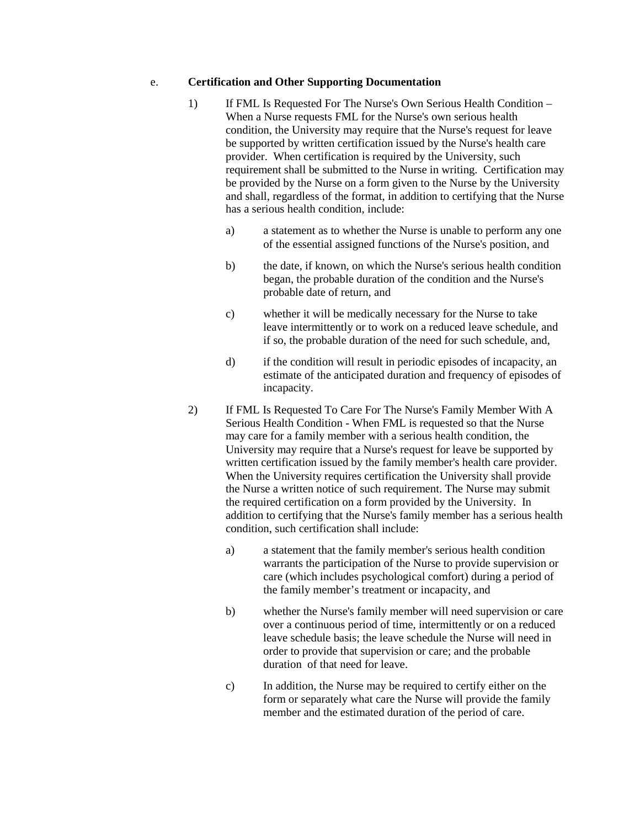#### e. **Certification and Other Supporting Documentation**

- 1) If FML Is Requested For The Nurse's Own Serious Health Condition When a Nurse requests FML for the Nurse's own serious health condition, the University may require that the Nurse's request for leave be supported by written certification issued by the Nurse's health care provider. When certification is required by the University, such requirement shall be submitted to the Nurse in writing. Certification may be provided by the Nurse on a form given to the Nurse by the University and shall, regardless of the format, in addition to certifying that the Nurse has a serious health condition, include:
	- a) a statement as to whether the Nurse is unable to perform any one of the essential assigned functions of the Nurse's position, and
	- b) the date, if known, on which the Nurse's serious health condition began, the probable duration of the condition and the Nurse's probable date of return, and
	- c) whether it will be medically necessary for the Nurse to take leave intermittently or to work on a reduced leave schedule, and if so, the probable duration of the need for such schedule, and,
	- d) if the condition will result in periodic episodes of incapacity, an estimate of the anticipated duration and frequency of episodes of incapacity.
- 2) If FML Is Requested To Care For The Nurse's Family Member With A Serious Health Condition - When FML is requested so that the Nurse may care for a family member with a serious health condition, the University may require that a Nurse's request for leave be supported by written certification issued by the family member's health care provider. When the University requires certification the University shall provide the Nurse a written notice of such requirement. The Nurse may submit the required certification on a form provided by the University. In addition to certifying that the Nurse's family member has a serious health condition, such certification shall include:
	- a) a statement that the family member's serious health condition warrants the participation of the Nurse to provide supervision or care (which includes psychological comfort) during a period of the family member's treatment or incapacity, and
	- b) whether the Nurse's family member will need supervision or care over a continuous period of time, intermittently or on a reduced leave schedule basis; the leave schedule the Nurse will need in order to provide that supervision or care; and the probable duration of that need for leave.
	- c) In addition, the Nurse may be required to certify either on the form or separately what care the Nurse will provide the family member and the estimated duration of the period of care.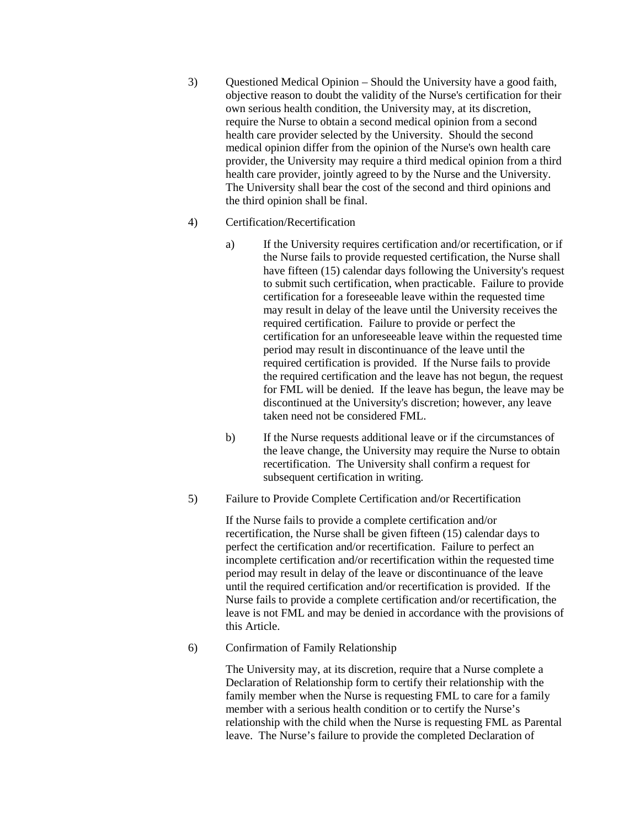3) Questioned Medical Opinion – Should the University have a good faith, objective reason to doubt the validity of the Nurse's certification for their own serious health condition, the University may, at its discretion, require the Nurse to obtain a second medical opinion from a second health care provider selected by the University. Should the second medical opinion differ from the opinion of the Nurse's own health care provider, the University may require a third medical opinion from a third health care provider, jointly agreed to by the Nurse and the University. The University shall bear the cost of the second and third opinions and the third opinion shall be final.

#### 4) Certification/Recertification

- a) If the University requires certification and/or recertification, or if the Nurse fails to provide requested certification, the Nurse shall have fifteen (15) calendar days following the University's request to submit such certification, when practicable. Failure to provide certification for a foreseeable leave within the requested time may result in delay of the leave until the University receives the required certification. Failure to provide or perfect the certification for an unforeseeable leave within the requested time period may result in discontinuance of the leave until the required certification is provided. If the Nurse fails to provide the required certification and the leave has not begun, the request for FML will be denied. If the leave has begun, the leave may be discontinued at the University's discretion; however, any leave taken need not be considered FML.
- b) If the Nurse requests additional leave or if the circumstances of the leave change, the University may require the Nurse to obtain recertification. The University shall confirm a request for subsequent certification in writing.
- 5) Failure to Provide Complete Certification and/or Recertification

If the Nurse fails to provide a complete certification and/or recertification, the Nurse shall be given fifteen (15) calendar days to perfect the certification and/or recertification. Failure to perfect an incomplete certification and/or recertification within the requested time period may result in delay of the leave or discontinuance of the leave until the required certification and/or recertification is provided. If the Nurse fails to provide a complete certification and/or recertification, the leave is not FML and may be denied in accordance with the provisions of this Article.

6) Confirmation of Family Relationship

The University may, at its discretion, require that a Nurse complete a Declaration of Relationship form to certify their relationship with the family member when the Nurse is requesting FML to care for a family member with a serious health condition or to certify the Nurse's relationship with the child when the Nurse is requesting FML as Parental leave. The Nurse's failure to provide the completed Declaration of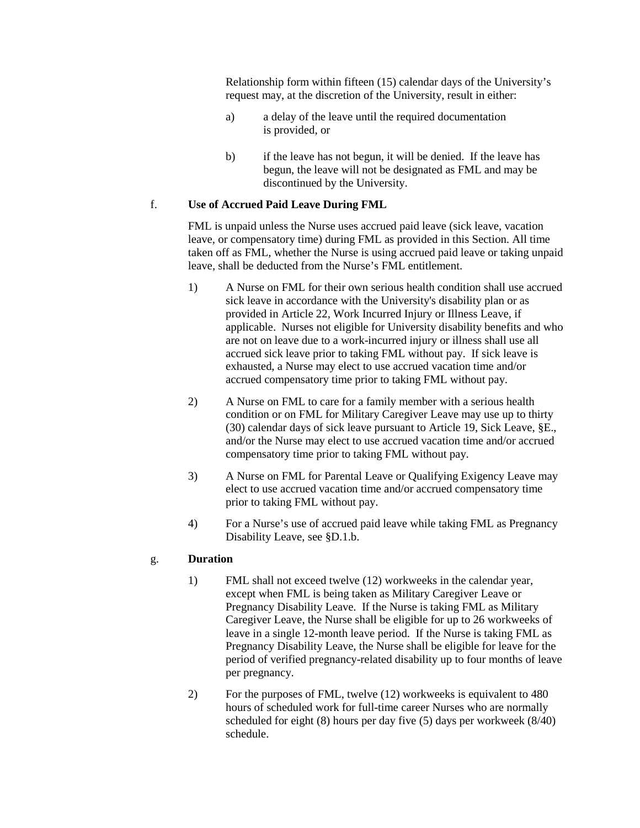Relationship form within fifteen (15) calendar days of the University's request may, at the discretion of the University, result in either:

- a) a delay of the leave until the required documentation is provided, or
- b) if the leave has not begun, it will be denied. If the leave has begun, the leave will not be designated as FML and may be discontinued by the University.

#### f. **Use of Accrued Paid Leave During FML**

FML is unpaid unless the Nurse uses accrued paid leave (sick leave, vacation leave, or compensatory time) during FML as provided in this Section. All time taken off as FML, whether the Nurse is using accrued paid leave or taking unpaid leave, shall be deducted from the Nurse's FML entitlement.

- 1) A Nurse on FML for their own serious health condition shall use accrued sick leave in accordance with the University's disability plan or as provided in Article 22, Work Incurred Injury or Illness Leave, if applicable. Nurses not eligible for University disability benefits and who are not on leave due to a work-incurred injury or illness shall use all accrued sick leave prior to taking FML without pay. If sick leave is exhausted, a Nurse may elect to use accrued vacation time and/or accrued compensatory time prior to taking FML without pay.
- 2) A Nurse on FML to care for a family member with a serious health condition or on FML for Military Caregiver Leave may use up to thirty (30) calendar days of sick leave pursuant to Article 19, Sick Leave, §E., and/or the Nurse may elect to use accrued vacation time and/or accrued compensatory time prior to taking FML without pay.
- 3) A Nurse on FML for Parental Leave or Qualifying Exigency Leave may elect to use accrued vacation time and/or accrued compensatory time prior to taking FML without pay.
- 4) For a Nurse's use of accrued paid leave while taking FML as Pregnancy Disability Leave, see §D.1.b.

#### g. **Duration**

- 1) FML shall not exceed twelve (12) workweeks in the calendar year, except when FML is being taken as Military Caregiver Leave or Pregnancy Disability Leave. If the Nurse is taking FML as Military Caregiver Leave, the Nurse shall be eligible for up to 26 workweeks of leave in a single 12-month leave period. If the Nurse is taking FML as Pregnancy Disability Leave, the Nurse shall be eligible for leave for the period of verified pregnancy-related disability up to four months of leave per pregnancy.
- 2) For the purposes of FML, twelve (12) workweeks is equivalent to 480 hours of scheduled work for full-time career Nurses who are normally scheduled for eight (8) hours per day five (5) days per workweek (8/40) schedule.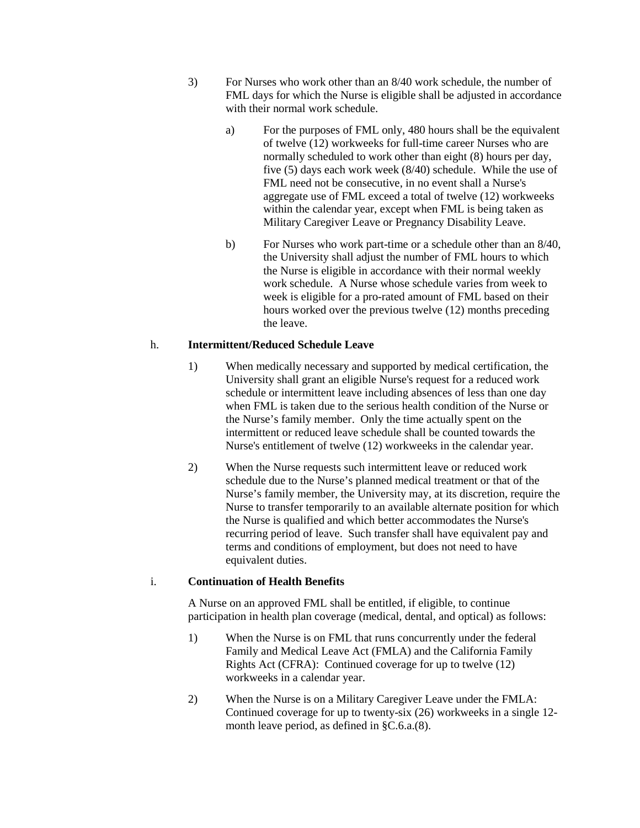- 3) For Nurses who work other than an 8/40 work schedule, the number of FML days for which the Nurse is eligible shall be adjusted in accordance with their normal work schedule.
	- a) For the purposes of FML only, 480 hours shall be the equivalent of twelve (12) workweeks for full-time career Nurses who are normally scheduled to work other than eight (8) hours per day, five (5) days each work week (8/40) schedule. While the use of FML need not be consecutive, in no event shall a Nurse's aggregate use of FML exceed a total of twelve (12) workweeks within the calendar year, except when FML is being taken as Military Caregiver Leave or Pregnancy Disability Leave.
	- b) For Nurses who work part-time or a schedule other than an 8/40, the University shall adjust the number of FML hours to which the Nurse is eligible in accordance with their normal weekly work schedule. A Nurse whose schedule varies from week to week is eligible for a pro-rated amount of FML based on their hours worked over the previous twelve (12) months preceding the leave.

### h. **Intermittent/Reduced Schedule Leave**

- 1) When medically necessary and supported by medical certification, the University shall grant an eligible Nurse's request for a reduced work schedule or intermittent leave including absences of less than one day when FML is taken due to the serious health condition of the Nurse or the Nurse's family member. Only the time actually spent on the intermittent or reduced leave schedule shall be counted towards the Nurse's entitlement of twelve (12) workweeks in the calendar year.
- 2) When the Nurse requests such intermittent leave or reduced work schedule due to the Nurse's planned medical treatment or that of the Nurse's family member, the University may, at its discretion, require the Nurse to transfer temporarily to an available alternate position for which the Nurse is qualified and which better accommodates the Nurse's recurring period of leave. Such transfer shall have equivalent pay and terms and conditions of employment, but does not need to have equivalent duties.

#### i. **Continuation of Health Benefits**

A Nurse on an approved FML shall be entitled, if eligible, to continue participation in health plan coverage (medical, dental, and optical) as follows:

- 1) When the Nurse is on FML that runs concurrently under the federal Family and Medical Leave Act (FMLA) and the California Family Rights Act (CFRA): Continued coverage for up to twelve (12) workweeks in a calendar year.
- 2) When the Nurse is on a Military Caregiver Leave under the FMLA: Continued coverage for up to twenty-six (26) workweeks in a single 12 month leave period, as defined in §C.6.a.(8).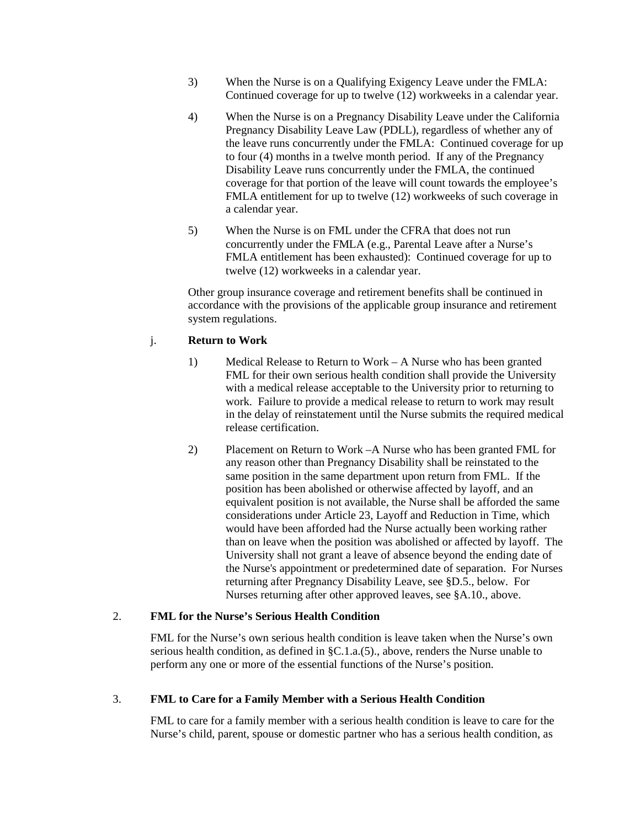- 3) When the Nurse is on a Qualifying Exigency Leave under the FMLA: Continued coverage for up to twelve (12) workweeks in a calendar year.
- 4) When the Nurse is on a Pregnancy Disability Leave under the California Pregnancy Disability Leave Law (PDLL), regardless of whether any of the leave runs concurrently under the FMLA: Continued coverage for up to four (4) months in a twelve month period. If any of the Pregnancy Disability Leave runs concurrently under the FMLA, the continued coverage for that portion of the leave will count towards the employee's FMLA entitlement for up to twelve (12) workweeks of such coverage in a calendar year.
- 5) When the Nurse is on FML under the CFRA that does not run concurrently under the FMLA (e.g., Parental Leave after a Nurse's FMLA entitlement has been exhausted): Continued coverage for up to twelve (12) workweeks in a calendar year.

Other group insurance coverage and retirement benefits shall be continued in accordance with the provisions of the applicable group insurance and retirement system regulations.

#### j. **Return to Work**

- 1) Medical Release to Return to Work A Nurse who has been granted FML for their own serious health condition shall provide the University with a medical release acceptable to the University prior to returning to work. Failure to provide a medical release to return to work may result in the delay of reinstatement until the Nurse submits the required medical release certification.
- 2) Placement on Return to Work –A Nurse who has been granted FML for any reason other than Pregnancy Disability shall be reinstated to the same position in the same department upon return from FML. If the position has been abolished or otherwise affected by layoff, and an equivalent position is not available, the Nurse shall be afforded the same considerations under Article 23, Layoff and Reduction in Time, which would have been afforded had the Nurse actually been working rather than on leave when the position was abolished or affected by layoff. The University shall not grant a leave of absence beyond the ending date of the Nurse's appointment or predetermined date of separation. For Nurses returning after Pregnancy Disability Leave, see §D.5., below. For Nurses returning after other approved leaves, see §A.10., above.

#### 2. **FML for the Nurse's Serious Health Condition**

FML for the Nurse's own serious health condition is leave taken when the Nurse's own serious health condition, as defined in §C.1.a.(5)., above, renders the Nurse unable to perform any one or more of the essential functions of the Nurse's position.

#### 3. **FML to Care for a Family Member with a Serious Health Condition**

FML to care for a family member with a serious health condition is leave to care for the Nurse's child, parent, spouse or domestic partner who has a serious health condition, as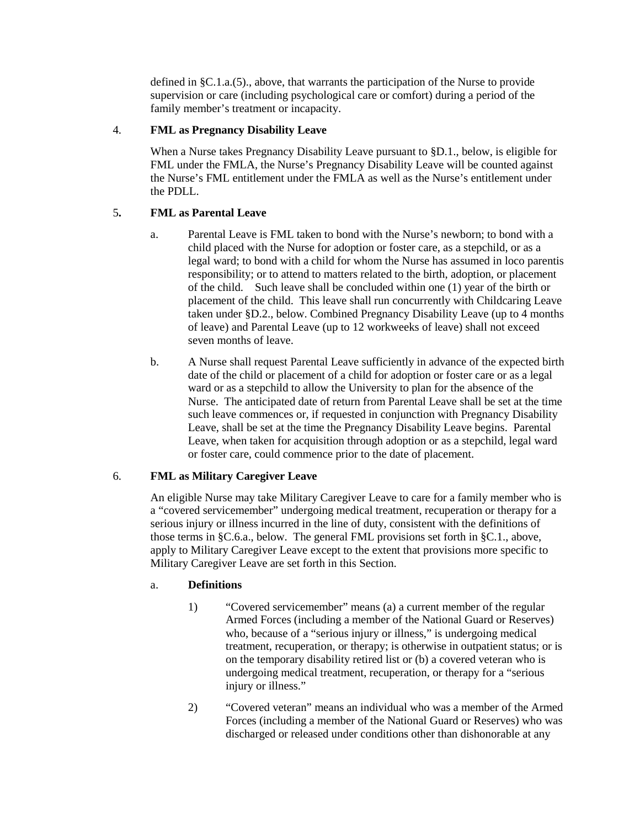defined in §C.1.a.(5)., above, that warrants the participation of the Nurse to provide supervision or care (including psychological care or comfort) during a period of the family member's treatment or incapacity.

### 4. **FML as Pregnancy Disability Leave**

When a Nurse takes Pregnancy Disability Leave pursuant to §D.1., below, is eligible for FML under the FMLA, the Nurse's Pregnancy Disability Leave will be counted against the Nurse's FML entitlement under the FMLA as well as the Nurse's entitlement under the PDLL.

## 5**. FML as Parental Leave**

- a. Parental Leave is FML taken to bond with the Nurse's newborn; to bond with a child placed with the Nurse for adoption or foster care, as a stepchild, or as a legal ward; to bond with a child for whom the Nurse has assumed in loco parentis responsibility; or to attend to matters related to the birth, adoption, or placement of the child. Such leave shall be concluded within one (1) year of the birth or placement of the child. This leave shall run concurrently with Childcaring Leave taken under §D.2., below. Combined Pregnancy Disability Leave (up to 4 months of leave) and Parental Leave (up to 12 workweeks of leave) shall not exceed seven months of leave.
- b. A Nurse shall request Parental Leave sufficiently in advance of the expected birth date of the child or placement of a child for adoption or foster care or as a legal ward or as a stepchild to allow the University to plan for the absence of the Nurse. The anticipated date of return from Parental Leave shall be set at the time such leave commences or, if requested in conjunction with Pregnancy Disability Leave, shall be set at the time the Pregnancy Disability Leave begins. Parental Leave, when taken for acquisition through adoption or as a stepchild, legal ward or foster care, could commence prior to the date of placement.

#### 6. **FML as Military Caregiver Leave**

An eligible Nurse may take Military Caregiver Leave to care for a family member who is a "covered servicemember" undergoing medical treatment, recuperation or therapy for a serious injury or illness incurred in the line of duty, consistent with the definitions of those terms in §C.6.a., below. The general FML provisions set forth in §C.1., above, apply to Military Caregiver Leave except to the extent that provisions more specific to Military Caregiver Leave are set forth in this Section.

#### a. **Definitions**

- 1) "Covered servicemember" means (a) a current member of the regular Armed Forces (including a member of the National Guard or Reserves) who, because of a "serious injury or illness," is undergoing medical treatment, recuperation, or therapy; is otherwise in outpatient status; or is on the temporary disability retired list or (b) a covered veteran who is undergoing medical treatment, recuperation, or therapy for a "serious injury or illness."
- 2) "Covered veteran" means an individual who was a member of the Armed Forces (including a member of the National Guard or Reserves) who was discharged or released under conditions other than dishonorable at any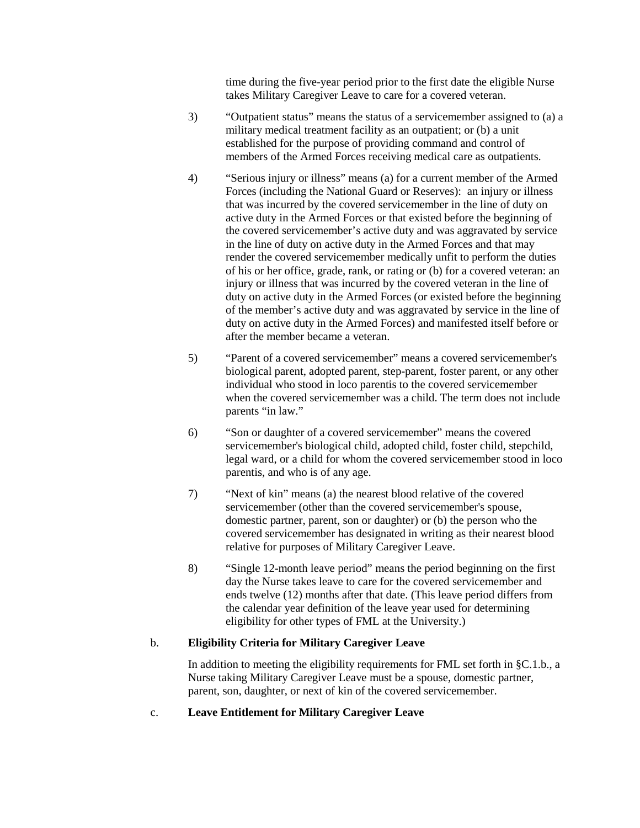time during the five-year period prior to the first date the eligible Nurse takes Military Caregiver Leave to care for a covered veteran.

- 3) "Outpatient status" means the status of a servicemember assigned to (a) a military medical treatment facility as an outpatient; or (b) a unit established for the purpose of providing command and control of members of the Armed Forces receiving medical care as outpatients.
- 4) "Serious injury or illness" means (a) for a current member of the Armed Forces (including the National Guard or Reserves): an injury or illness that was incurred by the covered servicemember in the line of duty on active duty in the Armed Forces or that existed before the beginning of the covered servicemember's active duty and was aggravated by service in the line of duty on active duty in the Armed Forces and that may render the covered servicemember medically unfit to perform the duties of his or her office, grade, rank, or rating or (b) for a covered veteran: an injury or illness that was incurred by the covered veteran in the line of duty on active duty in the Armed Forces (or existed before the beginning of the member's active duty and was aggravated by service in the line of duty on active duty in the Armed Forces) and manifested itself before or after the member became a veteran.
- 5) "Parent of a covered servicemember" means a covered servicemember's biological parent, adopted parent, step-parent, foster parent, or any other individual who stood in loco parentis to the covered servicemember when the covered servicemember was a child. The term does not include parents "in law."
- 6) "Son or daughter of a covered servicemember" means the covered servicemember's biological child, adopted child, foster child, stepchild, legal ward, or a child for whom the covered servicemember stood in loco parentis, and who is of any age.
- 7) "Next of kin" means (a) the nearest blood relative of the covered servicemember (other than the covered servicemember's spouse, domestic partner, parent, son or daughter) or (b) the person who the covered servicemember has designated in writing as their nearest blood relative for purposes of Military Caregiver Leave.
- 8) "Single 12-month leave period" means the period beginning on the first day the Nurse takes leave to care for the covered servicemember and ends twelve (12) months after that date. (This leave period differs from the calendar year definition of the leave year used for determining eligibility for other types of FML at the University.)

#### b. **Eligibility Criteria for Military Caregiver Leave**

In addition to meeting the eligibility requirements for FML set forth in §C.1.b., a Nurse taking Military Caregiver Leave must be a spouse, domestic partner, parent, son, daughter, or next of kin of the covered servicemember.

#### c. **Leave Entitlement for Military Caregiver Leave**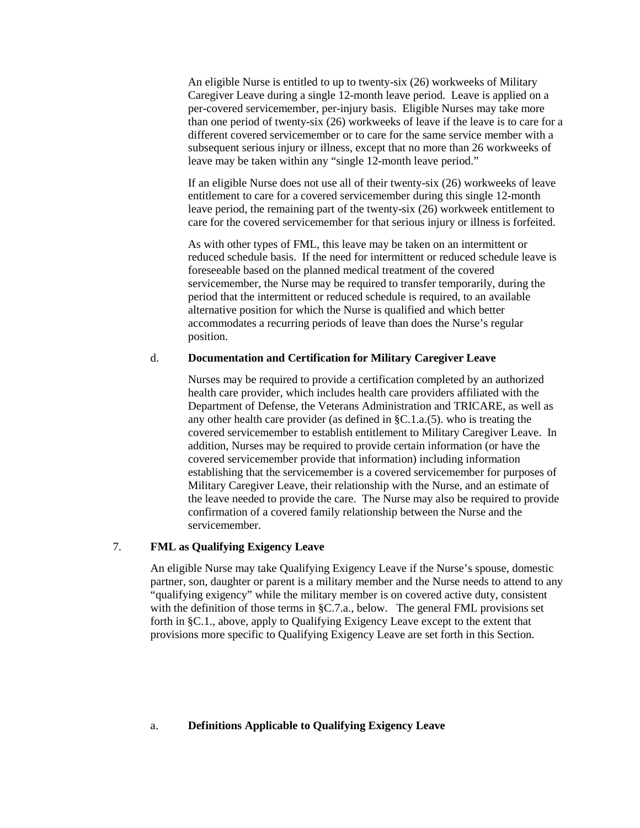An eligible Nurse is entitled to up to twenty-six (26) workweeks of Military Caregiver Leave during a single 12-month leave period. Leave is applied on a per-covered servicemember, per-injury basis. Eligible Nurses may take more than one period of twenty-six (26) workweeks of leave if the leave is to care for a different covered servicemember or to care for the same service member with a subsequent serious injury or illness, except that no more than 26 workweeks of leave may be taken within any "single 12-month leave period."

If an eligible Nurse does not use all of their twenty-six (26) workweeks of leave entitlement to care for a covered servicemember during this single 12-month leave period, the remaining part of the twenty-six (26) workweek entitlement to care for the covered servicemember for that serious injury or illness is forfeited.

As with other types of FML, this leave may be taken on an intermittent or reduced schedule basis. If the need for intermittent or reduced schedule leave is foreseeable based on the planned medical treatment of the covered servicemember, the Nurse may be required to transfer temporarily, during the period that the intermittent or reduced schedule is required, to an available alternative position for which the Nurse is qualified and which better accommodates a recurring periods of leave than does the Nurse's regular position.

#### d. **Documentation and Certification for Military Caregiver Leave**

Nurses may be required to provide a certification completed by an authorized health care provider, which includes health care providers affiliated with the Department of Defense, the Veterans Administration and TRICARE, as well as any other health care provider (as defined in §C.1.a.(5). who is treating the covered servicemember to establish entitlement to Military Caregiver Leave. In addition, Nurses may be required to provide certain information (or have the covered servicemember provide that information) including information establishing that the servicemember is a covered servicemember for purposes of Military Caregiver Leave, their relationship with the Nurse, and an estimate of the leave needed to provide the care. The Nurse may also be required to provide confirmation of a covered family relationship between the Nurse and the servicemember.

## 7. **FML as Qualifying Exigency Leave**

An eligible Nurse may take Qualifying Exigency Leave if the Nurse's spouse, domestic partner, son, daughter or parent is a military member and the Nurse needs to attend to any "qualifying exigency" while the military member is on covered active duty, consistent with the definition of those terms in §C.7.a., below. The general FML provisions set forth in §C.1., above, apply to Qualifying Exigency Leave except to the extent that provisions more specific to Qualifying Exigency Leave are set forth in this Section.

#### a. **Definitions Applicable to Qualifying Exigency Leave**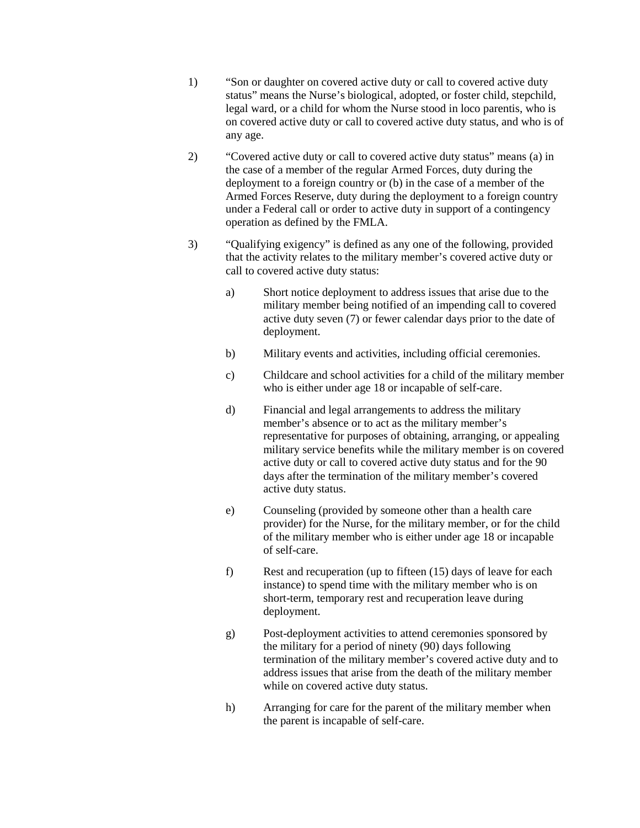- 1) "Son or daughter on covered active duty or call to covered active duty status" means the Nurse's biological, adopted, or foster child, stepchild, legal ward, or a child for whom the Nurse stood in loco parentis, who is on covered active duty or call to covered active duty status, and who is of any age.
- 2) "Covered active duty or call to covered active duty status" means (a) in the case of a member of the regular Armed Forces, duty during the deployment to a foreign country or (b) in the case of a member of the Armed Forces Reserve, duty during the deployment to a foreign country under a Federal call or order to active duty in support of a contingency operation as defined by the FMLA.
- 3) "Qualifying exigency" is defined as any one of the following, provided that the activity relates to the military member's covered active duty or call to covered active duty status:
	- a) Short notice deployment to address issues that arise due to the military member being notified of an impending call to covered active duty seven (7) or fewer calendar days prior to the date of deployment.
	- b) Military events and activities, including official ceremonies.
	- c) Childcare and school activities for a child of the military member who is either under age 18 or incapable of self-care.
	- d) Financial and legal arrangements to address the military member's absence or to act as the military member's representative for purposes of obtaining, arranging, or appealing military service benefits while the military member is on covered active duty or call to covered active duty status and for the 90 days after the termination of the military member's covered active duty status.
	- e) Counseling (provided by someone other than a health care provider) for the Nurse, for the military member, or for the child of the military member who is either under age 18 or incapable of self-care.
	- f) Rest and recuperation (up to fifteen (15) days of leave for each instance) to spend time with the military member who is on short-term, temporary rest and recuperation leave during deployment.
	- g) Post-deployment activities to attend ceremonies sponsored by the military for a period of ninety (90) days following termination of the military member's covered active duty and to address issues that arise from the death of the military member while on covered active duty status.
	- h) Arranging for care for the parent of the military member when the parent is incapable of self-care.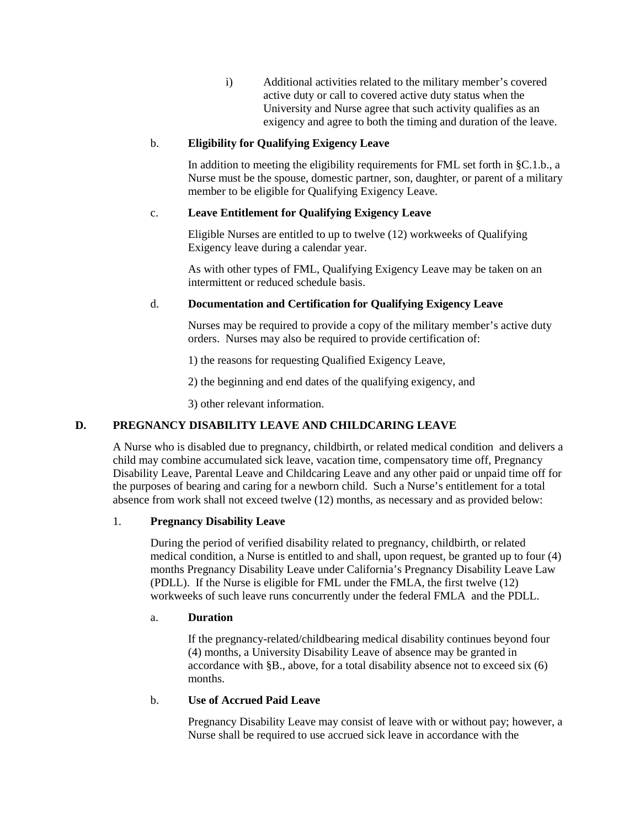i) Additional activities related to the military member's covered active duty or call to covered active duty status when the University and Nurse agree that such activity qualifies as an exigency and agree to both the timing and duration of the leave.

### b. **Eligibility for Qualifying Exigency Leave**

In addition to meeting the eligibility requirements for FML set forth in §C.1.b., a Nurse must be the spouse, domestic partner, son, daughter, or parent of a military member to be eligible for Qualifying Exigency Leave.

### c. **Leave Entitlement for Qualifying Exigency Leave**

Eligible Nurses are entitled to up to twelve (12) workweeks of Qualifying Exigency leave during a calendar year.

As with other types of FML, Qualifying Exigency Leave may be taken on an intermittent or reduced schedule basis.

## d. **Documentation and Certification for Qualifying Exigency Leave**

Nurses may be required to provide a copy of the military member's active duty orders. Nurses may also be required to provide certification of:

1) the reasons for requesting Qualified Exigency Leave,

2) the beginning and end dates of the qualifying exigency, and

3) other relevant information.

## **D. PREGNANCY DISABILITY LEAVE AND CHILDCARING LEAVE**

A Nurse who is disabled due to pregnancy, childbirth, or related medical condition and delivers a child may combine accumulated sick leave, vacation time, compensatory time off, Pregnancy Disability Leave, Parental Leave and Childcaring Leave and any other paid or unpaid time off for the purposes of bearing and caring for a newborn child. Such a Nurse's entitlement for a total absence from work shall not exceed twelve (12) months, as necessary and as provided below:

## 1. **Pregnancy Disability Leave**

During the period of verified disability related to pregnancy, childbirth, or related medical condition, a Nurse is entitled to and shall, upon request, be granted up to four (4) months Pregnancy Disability Leave under California's Pregnancy Disability Leave Law (PDLL). If the Nurse is eligible for FML under the FMLA, the first twelve (12) workweeks of such leave runs concurrently under the federal FMLA and the PDLL.

#### a. **Duration**

If the pregnancy-related/childbearing medical disability continues beyond four (4) months, a University Disability Leave of absence may be granted in accordance with §B., above, for a total disability absence not to exceed six (6) months.

#### b. **Use of Accrued Paid Leave**

Pregnancy Disability Leave may consist of leave with or without pay; however, a Nurse shall be required to use accrued sick leave in accordance with the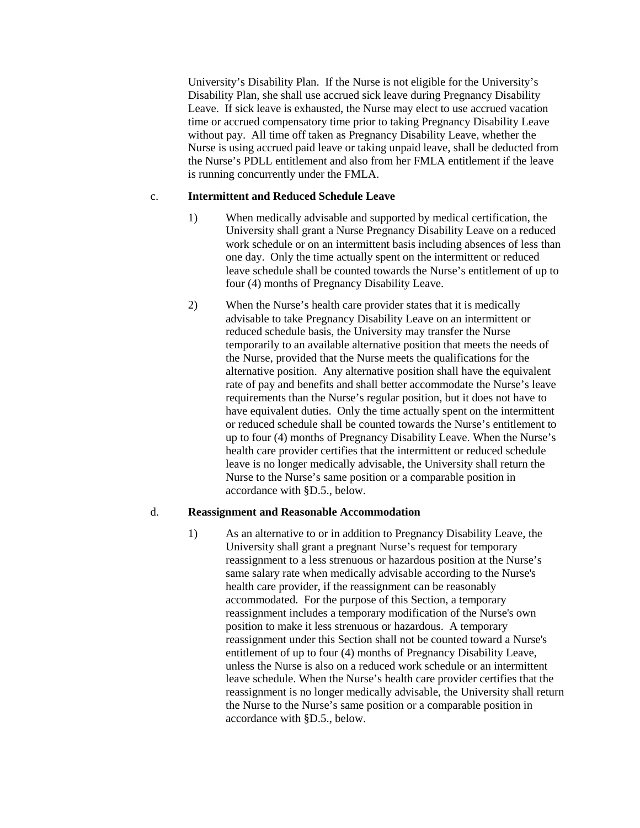University's Disability Plan. If the Nurse is not eligible for the University's Disability Plan, she shall use accrued sick leave during Pregnancy Disability Leave. If sick leave is exhausted, the Nurse may elect to use accrued vacation time or accrued compensatory time prior to taking Pregnancy Disability Leave without pay. All time off taken as Pregnancy Disability Leave, whether the Nurse is using accrued paid leave or taking unpaid leave, shall be deducted from the Nurse's PDLL entitlement and also from her FMLA entitlement if the leave is running concurrently under the FMLA.

#### c. **Intermittent and Reduced Schedule Leave**

- 1) When medically advisable and supported by medical certification, the University shall grant a Nurse Pregnancy Disability Leave on a reduced work schedule or on an intermittent basis including absences of less than one day. Only the time actually spent on the intermittent or reduced leave schedule shall be counted towards the Nurse's entitlement of up to four (4) months of Pregnancy Disability Leave.
- 2) When the Nurse's health care provider states that it is medically advisable to take Pregnancy Disability Leave on an intermittent or reduced schedule basis, the University may transfer the Nurse temporarily to an available alternative position that meets the needs of the Nurse, provided that the Nurse meets the qualifications for the alternative position. Any alternative position shall have the equivalent rate of pay and benefits and shall better accommodate the Nurse's leave requirements than the Nurse's regular position, but it does not have to have equivalent duties. Only the time actually spent on the intermittent or reduced schedule shall be counted towards the Nurse's entitlement to up to four (4) months of Pregnancy Disability Leave. When the Nurse's health care provider certifies that the intermittent or reduced schedule leave is no longer medically advisable, the University shall return the Nurse to the Nurse's same position or a comparable position in accordance with §D.5., below.

#### d. **Reassignment and Reasonable Accommodation**

1) As an alternative to or in addition to Pregnancy Disability Leave, the University shall grant a pregnant Nurse's request for temporary reassignment to a less strenuous or hazardous position at the Nurse's same salary rate when medically advisable according to the Nurse's health care provider, if the reassignment can be reasonably accommodated. For the purpose of this Section, a temporary reassignment includes a temporary modification of the Nurse's own position to make it less strenuous or hazardous. A temporary reassignment under this Section shall not be counted toward a Nurse's entitlement of up to four (4) months of Pregnancy Disability Leave, unless the Nurse is also on a reduced work schedule or an intermittent leave schedule. When the Nurse's health care provider certifies that the reassignment is no longer medically advisable, the University shall return the Nurse to the Nurse's same position or a comparable position in accordance with §D.5., below.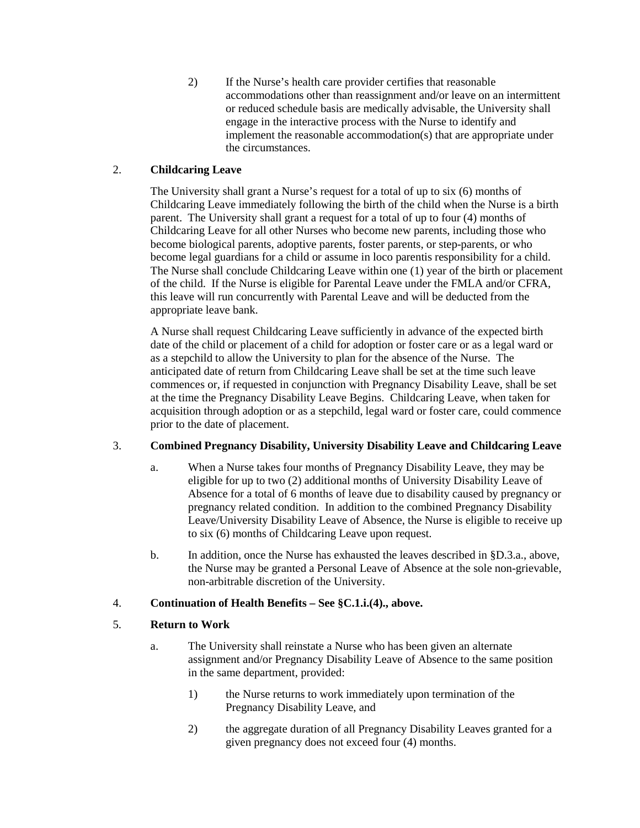2) If the Nurse's health care provider certifies that reasonable accommodations other than reassignment and/or leave on an intermittent or reduced schedule basis are medically advisable, the University shall engage in the interactive process with the Nurse to identify and implement the reasonable accommodation(s) that are appropriate under the circumstances.

## 2. **Childcaring Leave**

The University shall grant a Nurse's request for a total of up to six (6) months of Childcaring Leave immediately following the birth of the child when the Nurse is a birth parent. The University shall grant a request for a total of up to four (4) months of Childcaring Leave for all other Nurses who become new parents, including those who become biological parents, adoptive parents, foster parents, or step-parents, or who become legal guardians for a child or assume in loco parentis responsibility for a child. The Nurse shall conclude Childcaring Leave within one (1) year of the birth or placement of the child. If the Nurse is eligible for Parental Leave under the FMLA and/or CFRA, this leave will run concurrently with Parental Leave and will be deducted from the appropriate leave bank.

A Nurse shall request Childcaring Leave sufficiently in advance of the expected birth date of the child or placement of a child for adoption or foster care or as a legal ward or as a stepchild to allow the University to plan for the absence of the Nurse. The anticipated date of return from Childcaring Leave shall be set at the time such leave commences or, if requested in conjunction with Pregnancy Disability Leave, shall be set at the time the Pregnancy Disability Leave Begins. Childcaring Leave, when taken for acquisition through adoption or as a stepchild, legal ward or foster care, could commence prior to the date of placement.

## 3. **Combined Pregnancy Disability, University Disability Leave and Childcaring Leave**

- a. When a Nurse takes four months of Pregnancy Disability Leave, they may be eligible for up to two (2) additional months of University Disability Leave of Absence for a total of 6 months of leave due to disability caused by pregnancy or pregnancy related condition. In addition to the combined Pregnancy Disability Leave/University Disability Leave of Absence, the Nurse is eligible to receive up to six (6) months of Childcaring Leave upon request.
- b. In addition, once the Nurse has exhausted the leaves described in §D.3.a., above, the Nurse may be granted a Personal Leave of Absence at the sole non-grievable, non-arbitrable discretion of the University.

## 4. **Continuation of Health Benefits – See §C.1.i.(4)., above.**

## 5. **Return to Work**

- a. The University shall reinstate a Nurse who has been given an alternate assignment and/or Pregnancy Disability Leave of Absence to the same position in the same department, provided:
	- 1) the Nurse returns to work immediately upon termination of the Pregnancy Disability Leave, and
	- 2) the aggregate duration of all Pregnancy Disability Leaves granted for a given pregnancy does not exceed four (4) months.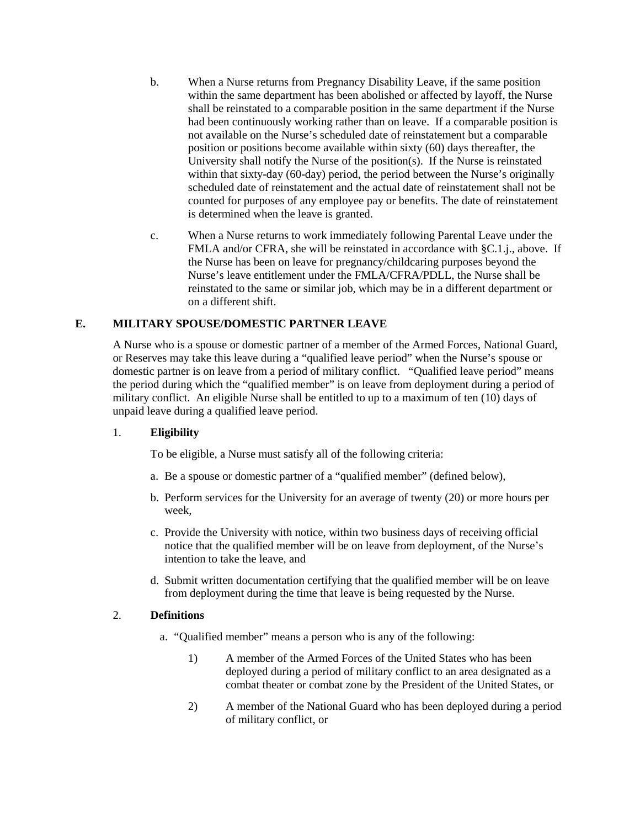- b. When a Nurse returns from Pregnancy Disability Leave, if the same position within the same department has been abolished or affected by layoff, the Nurse shall be reinstated to a comparable position in the same department if the Nurse had been continuously working rather than on leave. If a comparable position is not available on the Nurse's scheduled date of reinstatement but a comparable position or positions become available within sixty (60) days thereafter, the University shall notify the Nurse of the position(s). If the Nurse is reinstated within that sixty-day (60-day) period, the period between the Nurse's originally scheduled date of reinstatement and the actual date of reinstatement shall not be counted for purposes of any employee pay or benefits. The date of reinstatement is determined when the leave is granted.
- c. When a Nurse returns to work immediately following Parental Leave under the FMLA and/or CFRA, she will be reinstated in accordance with §C.1.j., above. If the Nurse has been on leave for pregnancy/childcaring purposes beyond the Nurse's leave entitlement under the FMLA/CFRA/PDLL, the Nurse shall be reinstated to the same or similar job, which may be in a different department or on a different shift.

### **E. MILITARY SPOUSE/DOMESTIC PARTNER LEAVE**

A Nurse who is a spouse or domestic partner of a member of the Armed Forces, National Guard, or Reserves may take this leave during a "qualified leave period" when the Nurse's spouse or domestic partner is on leave from a period of military conflict. "Qualified leave period" means the period during which the "qualified member" is on leave from deployment during a period of military conflict. An eligible Nurse shall be entitled to up to a maximum of ten (10) days of unpaid leave during a qualified leave period.

#### 1. **Eligibility**

To be eligible, a Nurse must satisfy all of the following criteria:

- a. Be a spouse or domestic partner of a "qualified member" (defined below),
- b. Perform services for the University for an average of twenty (20) or more hours per week,
- c. Provide the University with notice, within two business days of receiving official notice that the qualified member will be on leave from deployment, of the Nurse's intention to take the leave, and
- d. Submit written documentation certifying that the qualified member will be on leave from deployment during the time that leave is being requested by the Nurse.

### 2. **Definitions**

- a. "Qualified member" means a person who is any of the following:
	- 1) A member of the Armed Forces of the United States who has been deployed during a period of military conflict to an area designated as a combat theater or combat zone by the President of the United States, or
	- 2) A member of the National Guard who has been deployed during a period of military conflict, or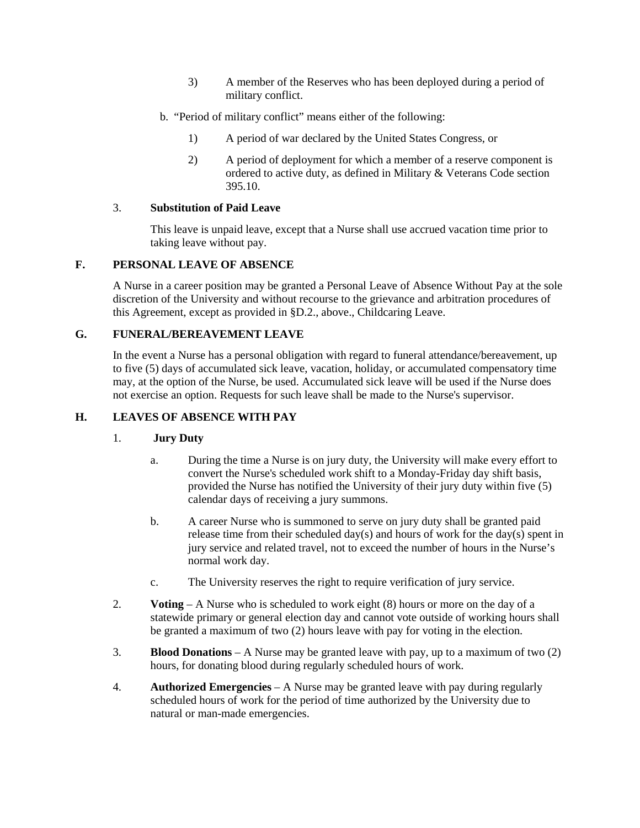- 3) A member of the Reserves who has been deployed during a period of military conflict.
- b. "Period of military conflict" means either of the following:
	- 1) A period of war declared by the United States Congress, or
	- 2) A period of deployment for which a member of a reserve component is ordered to active duty, as defined in Military & Veterans Code section 395.10.

### 3. **Substitution of Paid Leave**

This leave is unpaid leave, except that a Nurse shall use accrued vacation time prior to taking leave without pay.

## **F. PERSONAL LEAVE OF ABSENCE**

A Nurse in a career position may be granted a Personal Leave of Absence Without Pay at the sole discretion of the University and without recourse to the grievance and arbitration procedures of this Agreement, except as provided in §D.2., above., Childcaring Leave.

### **G. FUNERAL/BEREAVEMENT LEAVE**

In the event a Nurse has a personal obligation with regard to funeral attendance/bereavement, up to five (5) days of accumulated sick leave, vacation, holiday, or accumulated compensatory time may, at the option of the Nurse, be used. Accumulated sick leave will be used if the Nurse does not exercise an option. Requests for such leave shall be made to the Nurse's supervisor.

## **H. LEAVES OF ABSENCE WITH PAY**

#### 1. **Jury Duty**

- a. During the time a Nurse is on jury duty, the University will make every effort to convert the Nurse's scheduled work shift to a Monday-Friday day shift basis, provided the Nurse has notified the University of their jury duty within five (5) calendar days of receiving a jury summons.
- b. A career Nurse who is summoned to serve on jury duty shall be granted paid release time from their scheduled day(s) and hours of work for the day(s) spent in jury service and related travel, not to exceed the number of hours in the Nurse's normal work day.
- c. The University reserves the right to require verification of jury service.
- 2. **Voting** A Nurse who is scheduled to work eight (8) hours or more on the day of a statewide primary or general election day and cannot vote outside of working hours shall be granted a maximum of two (2) hours leave with pay for voting in the election.
- 3. **Blood Donations** A Nurse may be granted leave with pay, up to a maximum of two (2) hours, for donating blood during regularly scheduled hours of work.
- 4. **Authorized Emergencies** A Nurse may be granted leave with pay during regularly scheduled hours of work for the period of time authorized by the University due to natural or man-made emergencies.